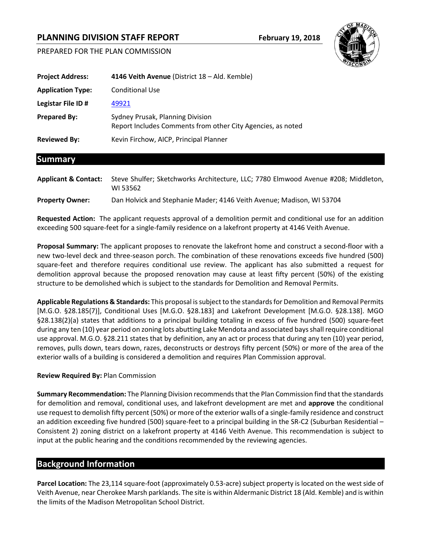# **PLANNING DIVISION STAFF REPORT February 19, 2018**





**Requested Action:** The applicant requests approval of a demolition permit and conditional use for an addition exceeding 500 square-feet for a single-family residence on a lakefront property at 4146 Veith Avenue.

**Proposal Summary:** The applicant proposes to renovate the lakefront home and construct a second-floor with a new two-level deck and three-season porch. The combination of these renovations exceeds five hundred (500) square-feet and therefore requires conditional use review. The applicant has also submitted a request for demolition approval because the proposed renovation may cause at least fifty percent (50%) of the existing structure to be demolished which is subject to the standards for Demolition and Removal Permits.

**Applicable Regulations & Standards:** This proposal is subject to the standards for Demolition and Removal Permits [M.G.O. §28.185(7)], Conditional Uses [M.G.O. §28.183] and Lakefront Development [M.G.O. §28.138]. MGO §28.138(2)(a) states that additions to a principal building totaling in excess of five hundred (500) square-feet during any ten (10) year period on zoning lots abutting Lake Mendota and associated bays shall require conditional use approval. M.G.O. §28.211 states that by definition, any an act or process that during any ten (10) year period, removes, pulls down, tears down, razes, deconstructs or destroys fifty percent (50%) or more of the area of the exterior walls of a building is considered a demolition and requires Plan Commission approval.

### **Review Required By:** Plan Commission

**Summary Recommendation:** The Planning Division recommends that the Plan Commission find that the standards for demolition and removal, conditional uses, and lakefront development are met and **approve** the conditional use request to demolish fifty percent (50%) or more of the exterior walls of a single-family residence and construct an addition exceeding five hundred (500) square-feet to a principal building in the SR-C2 (Suburban Residential – Consistent 2) zoning district on a lakefront property at 4146 Veith Avenue. This recommendation is subject to input at the public hearing and the conditions recommended by the reviewing agencies.

## **Background Information**

**Parcel Location:** The 23,114 square-foot (approximately 0.53-acre) subject property is located on the west side of Veith Avenue, near Cherokee Marsh parklands. The site is within Aldermanic District 18 (Ald. Kemble) and is within the limits of the Madison Metropolitan School District.

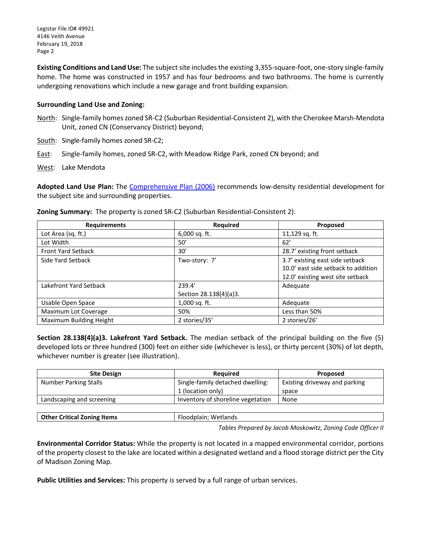Legistar File ID# 49921 4146 Veith Avenue February 19, 2018 Page 2

**Existing Conditions and Land Use:** The subject site includes the existing 3,355-square-foot, one-story single-family home. The home was constructed in 1957 and has four bedrooms and two bathrooms. The home is currently undergoing renovations which include a new garage and front building expansion.

#### **Surrounding Land Use and Zoning:**

- North: Single-family homeszoned SR-C2 (Suburban Residential-Consistent 2), with the Cherokee Marsh-Mendota Unit, zoned CN (Conservancy District) beyond;
- South: Single-family homes zoned SR-C2;
- East: Single-family homes, zoned SR-C2, with Meadow Ridge Park, zoned CN beyond; and
- West: Lake Mendota

**Adopted Land Use Plan:** The [Comprehensive Plan \(2006\)](http://www.cityofmadison.com/dpced/planning/comprehensive-plan/1607/) recommends low-density residential development for the subject site and surrounding properties.

| <b>Requirements</b>       | Required               | Proposed                            |
|---------------------------|------------------------|-------------------------------------|
| Lot Area (sq. ft.)        | $6,000$ sq. ft.        | 11,129 sq. ft.                      |
| Lot Width                 | 50'                    | 62'                                 |
| <b>Front Yard Setback</b> | 30'                    | 28.7' existing front setback        |
| Side Yard Setback         | Two-story: 7'          | 3.7' existing east side setback     |
|                           |                        | 10.0' east side setback to addition |
|                           |                        | 12.0' existing west site setback    |
| Lakefront Yard Setback    | 239.4'                 | Adequate                            |
|                           | Section 28.138(4)(a)3. |                                     |
| Usable Open Space         | $1,000$ sq. ft.        | Adequate                            |
| Maximum Lot Coverage      | 50%                    | Less than 50%                       |
| Maximum Building Height   | 2 stories/35'          | 2 stories/26'                       |

**Zoning Summary:** The property is zoned SR-C2 (Suburban Residential-Consistent 2).

**Section 28.138(4)(a)3. Lakefront Yard Setback.** The median setback of the principal building on the five (5) developed lots or three hundred (300) feet on either side (whichever is less), or thirty percent (30%) of lot depth, whichever number is greater (see illustration).

| <b>Site Design</b>        | <b>Required</b>                   | <b>Proposed</b>               |
|---------------------------|-----------------------------------|-------------------------------|
| Number Parking Stalls     | Single-family detached dwelling:  | Existing driveway and parking |
|                           | 1 (location only)                 | space                         |
| Landscaping and screening | Inventory of shoreline vegetation | None                          |
|                           |                                   |                               |

|--|

*Tables Prepared by Jacob Moskowitz, Zoning Code Officer II*

**Environmental Corridor Status:** While the property is not located in a mapped environmental corridor, portions of the property closest to the lake are located within a designated wetland and a flood storage district per the City of Madison Zoning Map.

**Public Utilities and Services:** This property is served by a full range of urban services.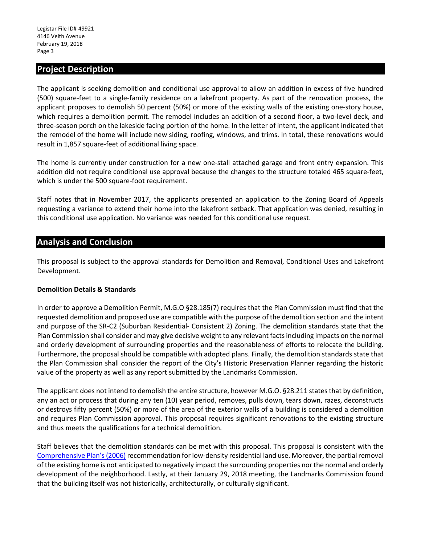## **Project Description**

The applicant is seeking demolition and conditional use approval to allow an addition in excess of five hundred (500) square-feet to a single-family residence on a lakefront property. As part of the renovation process, the applicant proposes to demolish 50 percent (50%) or more of the existing walls of the existing one-story house, which requires a demolition permit. The remodel includes an addition of a second floor, a two-level deck, and three-season porch on the lakeside facing portion of the home. In the letter of intent, the applicant indicated that the remodel of the home will include new siding, roofing, windows, and trims. In total, these renovations would result in 1,857 square-feet of additional living space.

The home is currently under construction for a new one-stall attached garage and front entry expansion. This addition did not require conditional use approval because the changes to the structure totaled 465 square-feet, which is under the 500 square-foot requirement.

Staff notes that in November 2017, the applicants presented an application to the Zoning Board of Appeals requesting a variance to extend their home into the lakefront setback. That application was denied, resulting in this conditional use application. No variance was needed for this conditional use request.

## **Analysis and Conclusion**

This proposal is subject to the approval standards for Demolition and Removal, Conditional Uses and Lakefront Development.

### **Demolition Details & Standards**

In order to approve a Demolition Permit, M.G.O §28.185(7) requires that the Plan Commission must find that the requested demolition and proposed use are compatible with the purpose of the demolition section and the intent and purpose of the SR-C2 (Suburban Residential- Consistent 2) Zoning. The demolition standards state that the Plan Commission shall consider and may give decisive weight to any relevant facts including impacts on the normal and orderly development of surrounding properties and the reasonableness of efforts to relocate the building. Furthermore, the proposal should be compatible with adopted plans. Finally, the demolition standards state that the Plan Commission shall consider the report of the City's Historic Preservation Planner regarding the historic value of the property as well as any report submitted by the Landmarks Commission.

The applicant does not intend to demolish the entire structure, however M.G.O. §28.211 states that by definition, any an act or process that during any ten (10) year period, removes, pulls down, tears down, razes, deconstructs or destroys fifty percent (50%) or more of the area of the exterior walls of a building is considered a demolition and requires Plan Commission approval. This proposal requires significant renovations to the existing structure and thus meets the qualifications for a technical demolition.

Staff believes that the demolition standards can be met with this proposal. This proposal is consistent with the [Comprehensive Plan's\(2006\)](http://www.cityofmadison.com/dpced/planning/comprehensive-plan/1607/) recommendation for low-density residential land use. Moreover, the partial removal of the existing home is not anticipated to negatively impact the surrounding properties nor the normal and orderly development of the neighborhood. Lastly, at their January 29, 2018 meeting, the Landmarks Commission found that the building itself was not historically, architecturally, or culturally significant.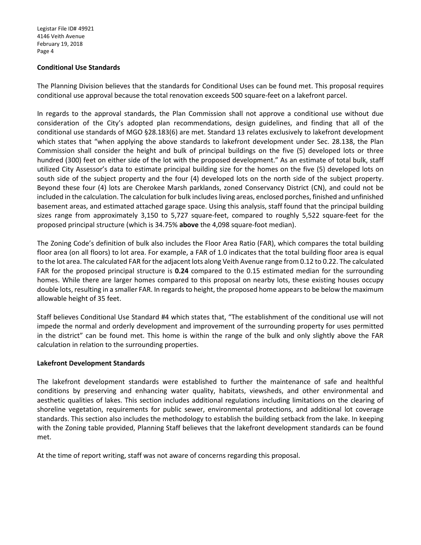#### **Conditional Use Standards**

The Planning Division believes that the standards for Conditional Uses can be found met. This proposal requires conditional use approval because the total renovation exceeds 500 square-feet on a lakefront parcel.

In regards to the approval standards, the Plan Commission shall not approve a conditional use without due consideration of the City's adopted plan recommendations, design guidelines, and finding that all of the conditional use standards of MGO §28.183(6) are met. Standard 13 relates exclusively to lakefront development which states that "when applying the above standards to lakefront development under Sec. 28.138, the Plan Commission shall consider the height and bulk of principal buildings on the five (5) developed lots or three hundred (300) feet on either side of the lot with the proposed development." As an estimate of total bulk, staff utilized City Assessor's data to estimate principal building size for the homes on the five (5) developed lots on south side of the subject property and the four (4) developed lots on the north side of the subject property. Beyond these four (4) lots are Cherokee Marsh parklands, zoned Conservancy District (CN), and could not be included in the calculation. The calculation for bulk includes living areas, enclosed porches, finished and unfinished basement areas, and estimated attached garage space. Using this analysis, staff found that the principal building sizes range from approximately 3,150 to 5,727 square-feet, compared to roughly 5,522 square-feet for the proposed principal structure (which is 34.75% **above** the 4,098 square-foot median).

The Zoning Code's definition of bulk also includes the Floor Area Ratio (FAR), which compares the total building floor area (on all floors) to lot area. For example, a FAR of 1.0 indicates that the total building floor area is equal to the lot area. The calculated FAR for the adjacent lots along Veith Avenue range from 0.12 to 0.22. The calculated FAR for the proposed principal structure is **0.24** compared to the 0.15 estimated median for the surrounding homes. While there are larger homes compared to this proposal on nearby lots, these existing houses occupy double lots, resulting in a smaller FAR. In regards to height, the proposed home appears to be below the maximum allowable height of 35 feet.

Staff believes Conditional Use Standard #4 which states that, "The establishment of the conditional use will not impede the normal and orderly development and improvement of the surrounding property for uses permitted in the district" can be found met. This home is within the range of the bulk and only slightly above the FAR calculation in relation to the surrounding properties.

#### **Lakefront Development Standards**

The lakefront development standards were established to further the maintenance of safe and healthful conditions by preserving and enhancing water quality, habitats, viewsheds, and other environmental and aesthetic qualities of lakes. This section includes additional regulations including limitations on the clearing of shoreline vegetation, requirements for public sewer, environmental protections, and additional lot coverage standards. This section also includes the methodology to establish the building setback from the lake. In keeping with the Zoning table provided, Planning Staff believes that the lakefront development standards can be found met.

At the time of report writing, staff was not aware of concerns regarding this proposal.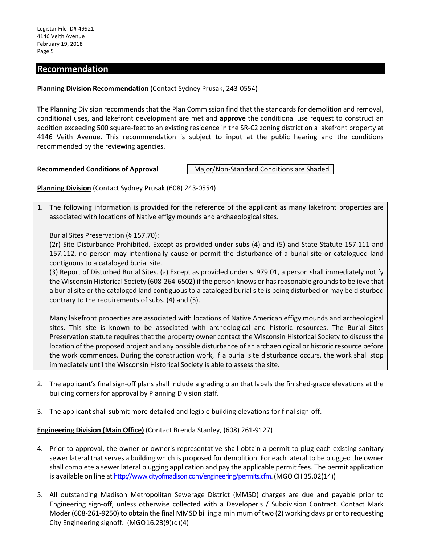## **Recommendation**

#### **Planning Division Recommendation** (Contact Sydney Prusak, 243-0554)

The Planning Division recommends that the Plan Commission find that the standards for demolition and removal, conditional uses, and lakefront development are met and **approve** the conditional use request to construct an addition exceeding 500 square-feet to an existing residence in the SR-C2 zoning district on a lakefront property at 4146 Veith Avenue. This recommendation is subject to input at the public hearing and the conditions recommended by the reviewing agencies.

**Recommended Conditions of Approval Major/Non-Standard Conditions are Shaded .** 

**Planning Division** (Contact Sydney Prusak (608) 243-0554)

1. The following information is provided for the reference of the applicant as many lakefront properties are associated with locations of Native effigy mounds and archaeological sites.

Burial Sites Preservation (§ 157.70):

(2r) Site Disturbance Prohibited. Except as provided under subs (4) and (5) and State Statute 157.111 and 157.112, no person may intentionally cause or permit the disturbance of a burial site or catalogued land contiguous to a cataloged burial site.

(3) Report of Disturbed Burial Sites. (a) Except as provided under s. 979.01, a person shall immediately notify the Wisconsin Historical Society (608-264-6502) if the person knows or has reasonable grounds to believe that a burial site or the cataloged land contiguous to a cataloged burial site is being disturbed or may be disturbed contrary to the requirements of subs. (4) and (5).

Many lakefront properties are associated with locations of Native American effigy mounds and archeological sites. This site is known to be associated with archeological and historic resources. The Burial Sites Preservation statute requires that the property owner contact the Wisconsin Historical Society to discuss the location of the proposed project and any possible disturbance of an archaeological or historic resource before the work commences. During the construction work, if a burial site disturbance occurs, the work shall stop immediately until the Wisconsin Historical Society is able to assess the site.

- 2. The applicant's final sign-off plans shall include a grading plan that labels the finished-grade elevations at the building corners for approval by Planning Division staff.
- 3. The applicant shall submit more detailed and legible building elevations for final sign-off.

### **Engineering Division (Main Office)** (Contact Brenda Stanley, (608) 261-9127)

- 4. Prior to approval, the owner or owner's representative shall obtain a permit to plug each existing sanitary sewer lateral that serves a building which is proposed for demolition. For each lateral to be plugged the owner shall complete a sewer lateral plugging application and pay the applicable permit fees. The permit application is available on line at [http://www.cityofmadison.com/engineering/permits.cfm.](http://www.cityofmadison.com/engineering/permits.cfm) (MGO CH 35.02(14))
- 5. All outstanding Madison Metropolitan Sewerage District (MMSD) charges are due and payable prior to Engineering sign-off, unless otherwise collected with a Developer's / Subdivision Contract. Contact Mark Moder (608-261-9250) to obtain the final MMSD billing a minimum of two (2) working days prior to requesting City Engineering signoff. (MGO16.23(9)(d)(4)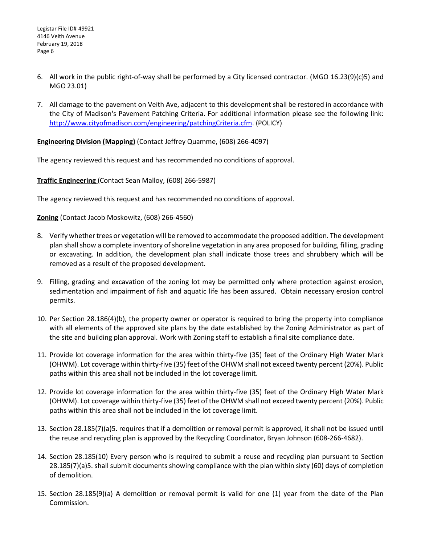- 6. All work in the public right-of-way shall be performed by a City licensed contractor. (MGO 16.23(9)(c)5) and MGO 23.01)
- 7. All damage to the pavement on Veith Ave, adjacent to this development shall be restored in accordance with the City of Madison's Pavement Patching Criteria. For additional information please see the following link: [http://www.cityofmadison.com/engineering/patchingCriteria.cfm.](http://www.cityofmadison.com/engineering/patchingCriteria.cfm) (POLICY)

**Engineering Division (Mapping)** (Contact Jeffrey Quamme, (608) 266-4097)

The agency reviewed this request and has recommended no conditions of approval.

**Traffic Engineering** (Contact Sean Malloy, (608) 266-5987)

The agency reviewed this request and has recommended no conditions of approval.

**Zoning** (Contact Jacob Moskowitz, (608) 266-4560)

- 8. Verify whether trees or vegetation will be removed to accommodate the proposed addition. The development plan shall show a complete inventory of shoreline vegetation in any area proposed for building, filling, grading or excavating. In addition, the development plan shall indicate those trees and shrubbery which will be removed as a result of the proposed development.
- 9. Filling, grading and excavation of the zoning lot may be permitted only where protection against erosion, sedimentation and impairment of fish and aquatic life has been assured. Obtain necessary erosion control permits.
- 10. Per Section 28.186(4)(b), the property owner or operator is required to bring the property into compliance with all elements of the approved site plans by the date established by the Zoning Administrator as part of the site and building plan approval. Work with Zoning staff to establish a final site compliance date.
- 11. Provide lot coverage information for the area within thirty-five (35) feet of the Ordinary High Water Mark (OHWM). Lot coverage within thirty-five (35) feet of the OHWM shall not exceed twenty percent (20%). Public paths within this area shall not be included in the lot coverage limit.
- 12. Provide lot coverage information for the area within thirty-five (35) feet of the Ordinary High Water Mark (OHWM). Lot coverage within thirty-five (35) feet of the OHWM shall not exceed twenty percent (20%). Public paths within this area shall not be included in the lot coverage limit.
- 13. Section 28.185(7)(a)5. requires that if a demolition or removal permit is approved, it shall not be issued until the reuse and recycling plan is approved by the Recycling Coordinator, Bryan Johnson (608-266-4682).
- 14. Section 28.185(10) Every person who is required to submit a reuse and recycling plan pursuant to Section 28.185(7)(a)5. shall submit documents showing compliance with the plan within sixty (60) days of completion of demolition.
- 15. Section 28.185(9)(a) A demolition or removal permit is valid for one (1) year from the date of the Plan Commission.